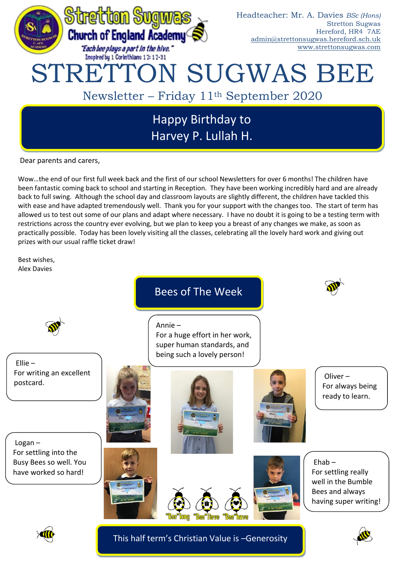

Dear parents and carers,

Wow…the end of our first full week back and the first of our school Newsletters for over 6 months! The children have been fantastic coming back to school and starting in Reception. They have been working incredibly hard and are already back to full swing. Although the school day and classroom layouts are slightly different, the children have tackled this with ease and have adapted tremendously well. Thank you for your support with the changes too. The start of term has allowed us to test out some of our plans and adapt where necessary. I have no doubt it is going to be a testing term with restrictions across the country ever evolving, but we plan to keep you a breast of any changes we make, as soon as practically possible. Today has been lovely visiting all the classes, celebrating all the lovely hard work and giving out prizes with our usual raffle ticket draw!

Best wishes, Alex Davies